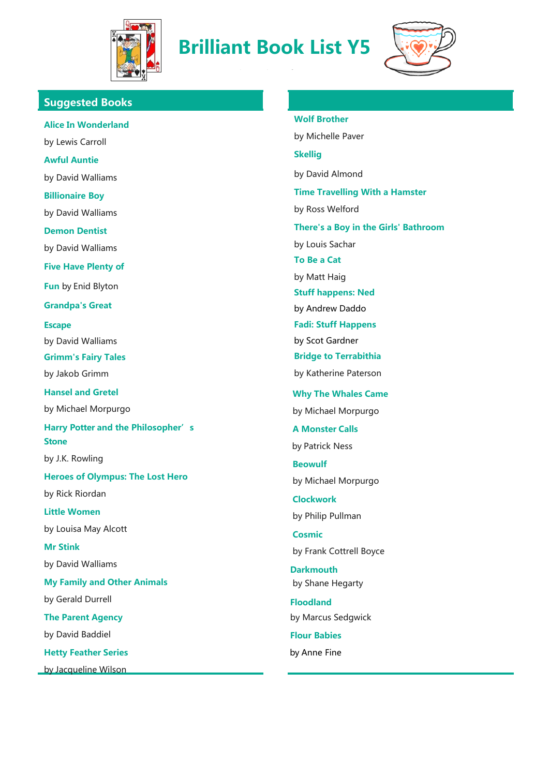

**Brilliant Book List Y5**

classroom!



**Suggested Books**

**Alice In Wonderland** by Lewis Carroll **Awful Auntie** by David Walliams **Billionaire Boy** by David Walliams **Demon Dentist** by David Walliams **Five Have Plenty of Fun** by Enid Blyton **Grandpa's Great Escape** by David Walliams **Grimm's Fairy Tales** by Jakob Grimm **Hansel and Gretel** by Michael Morpurgo **Harry Potter and the Philosopher's Stone** by J.K. Rowling **Heroes of Olympus: The Lost Hero** by Rick Riordan **Little Women** by Louisa May Alcott **Mr Stink** by David Walliams **My Family and Other Animals** by Gerald Durrell **The Parent Agency** by David Baddiel **Hetty Feather Series** by Jacqueline Wilson

**Wolf Brother**

by Michelle Paver **Skellig** by David Almond **Time Travelling With a Hamster** by Ross Welford **There's a Boy in the Girls' Bathroom** by Louis Sachar **To Be a Cat** by Matt Haig **Stuff happens: Ned** by Andrew Daddo **Fadi: Stuff Happens** by Scot Gardner **Bridge to Terrabithia** by Katherine Paterson  **Why The Whales Came** by Michael Morpurgo  **A Monster Calls** by Patrick Ness  **Beowulf** by Michael Morpurgo  **Clockwork** by Philip Pullman  **Cosmic** by Frank Cottrell Boyce **Darkmouth** by Shane Hegarty **Floodland** by Marcus Sedgwick **Flour Babies**

by Anne Fine